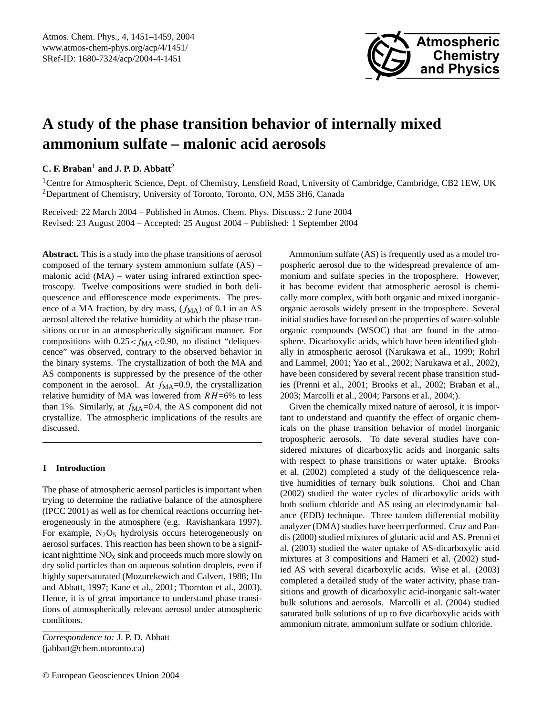

# **A study of the phase transition behavior of internally mixed ammonium sulfate – malonic acid aerosols**

**C. F. Braban**<sup>1</sup> **and J. P. D. Abbatt**<sup>2</sup>

<sup>1</sup>Centre for Atmospheric Science, Dept. of Chemistry, Lensfield Road, University of Cambridge, Cambridge, CB2 1EW, UK <sup>2</sup>Department of Chemistry, University of Toronto, Toronto, ON, M5S 3H6, Canada

Received: 22 March 2004 – Published in Atmos. Chem. Phys. Discuss.: 2 June 2004 Revised: 23 August 2004 – Accepted: 25 August 2004 – Published: 1 September 2004

**Abstract.** This is a study into the phase transitions of aerosol composed of the ternary system ammonium sulfate (AS) – malonic acid (MA) – water using infrared extinction spectroscopy. Twelve compositions were studied in both deliquescence and efflorescence mode experiments. The presence of a MA fraction, by dry mass,  $(f_{\text{MA}})$  of 0.1 in an AS aerosol altered the relative humidity at which the phase transitions occur in an atmospherically significant manner. For compositions with  $0.25 < f_{\text{MA}} < 0.90$ , no distinct "deliquescence" was observed, contrary to the observed behavior in the binary systems. The crystallization of both the MA and AS components is suppressed by the presence of the other component in the aerosol. At  $f_{\text{MA}}=0.9$ , the crystallization relative humidity of MA was lowered from  $RH=6\%$  to less than 1%. Similarly, at  $f_{\text{MA}}=0.4$ , the AS component did not crystallize. The atmospheric implications of the results are discussed.

## **1 Introduction**

The phase of atmospheric aerosol particles is important when trying to determine the radiative balance of the atmosphere (IPCC 2001) as well as for chemical reactions occurring heterogeneously in the atmosphere (e.g. Ravishankara 1997). For example,  $N_2O_5$  hydrolysis occurs heterogeneously on aerosol surfaces. This reaction has been shown to be a significant nighttime  $NO<sub>x</sub>$  sink and proceeds much more slowly on dry solid particles than on aqueous solution droplets, even if highly supersaturated (Mozurekewich and Calvert, 1988; Hu and Abbatt, 1997; Kane et al., 2001; Thornton et al., 2003). Hence, it is of great importance to understand phase transitions of atmospherically relevant aerosol under atmospheric conditions.

*Correspondence to:* J. P. D. Abbatt (jabbatt@chem.utoronto.ca)

Ammonium sulfate (AS) is frequently used as a model tropospheric aerosol due to the widespread prevalence of ammonium and sulfate species in the troposphere. However, it has become evident that atmospheric aerosol is chemically more complex, with both organic and mixed inorganicorganic aerosols widely present in the troposphere. Several initial studies have focused on the properties of water-soluble organic compounds (WSOC) that are found in the atmosphere. Dicarboxylic acids, which have been identified globally in atmospheric aerosol (Narukawa et al., 1999; Rohrl and Lammel, 2001; Yao et al., 2002; Narukawa et al., 2002), have been considered by several recent phase transition studies (Prenni et al., 2001; Brooks et al., 2002; Braban et al., 2003; Marcolli et al., 2004; Parsons et al., 2004;).

Given the chemically mixed nature of aerosol, it is important to understand and quantify the effect of organic chemicals on the phase transition behavior of model inorganic tropospheric aerosols. To date several studies have considered mixtures of dicarboxylic acids and inorganic salts with respect to phase transitions or water uptake. Brooks et al. (2002) completed a study of the deliquescence relative humidities of ternary bulk solutions. Choi and Chan (2002) studied the water cycles of dicarboxylic acids with both sodium chloride and AS using an electrodynamic balance (EDB) technique. Three tandem differential mobility analyzer (DMA) studies have been performed. Cruz and Pandis (2000) studied mixtures of glutaric acid and AS. Prenni et al. (2003) studied the water uptake of AS-dicarboxylic acid mixtures at 3 compositions and Hameri et al. (2002) studied AS with several dicarboxylic acids. Wise et al. (2003) completed a detailed study of the water activity, phase transitions and growth of dicarboxylic acid-inorganic salt-water bulk solutions and aerosols. Marcolli et al. (2004) studied saturated bulk solutions of up to five dicarboxylic acids with ammonium nitrate, ammonium sulfate or sodium chloride.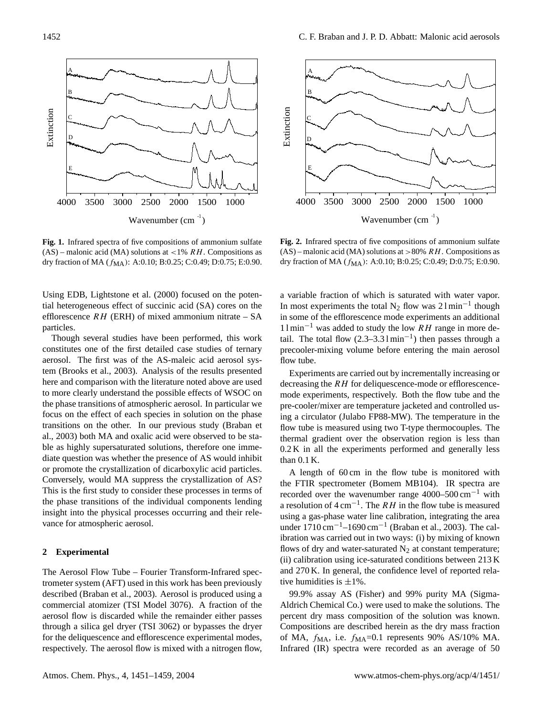

**Fig. 1.** Infrared spectra of five compositions of ammonium sulfate  $(AS)$  – malonic acid (MA) solutions at <1% RH. Compositions as dry fraction of MA ( $f_{\text{MA}}$ ): A:0.10; B:0.25; C:0.49; D:0.75; E:0.90.

Using EDB, Lightstone et al. (2000) focused on the potential heterogeneous effect of succinic acid (SA) cores on the efflorescence  $RH$  (ERH) of mixed ammonium nitrate – SA particles.

Though several studies have been performed, this work constitutes one of the first detailed case studies of ternary aerosol. The first was of the AS-maleic acid aerosol system (Brooks et al., 2003). Analysis of the results presented here and comparison with the literature noted above are used to more clearly understand the possible effects of WSOC on the phase transitions of atmospheric aerosol. In particular we focus on the effect of each species in solution on the phase transitions on the other. In our previous study (Braban et al., 2003) both MA and oxalic acid were observed to be stable as highly supersaturated solutions, therefore one immediate question was whether the presence of AS would inhibit or promote the crystallization of dicarboxylic acid particles. Conversely, would MA suppress the crystallization of AS? This is the first study to consider these processes in terms of the phase transitions of the individual components lending insight into the physical processes occurring and their relevance for atmospheric aerosol.

#### **2 Experimental**

The Aerosol Flow Tube – Fourier Transform-Infrared spectrometer system (AFT) used in this work has been previously described (Braban et al., 2003). Aerosol is produced using a commercial atomizer (TSI Model 3076). A fraction of the aerosol flow is discarded while the remainder either passes through a silica gel dryer (TSI 3062) or bypasses the dryer for the deliquescence and efflorescence experimental modes, respectively. The aerosol flow is mixed with a nitrogen flow,



**Fig. 2.** Infrared spectra of five compositions of ammonium sulfate  $(AS)$  – malonic acid (MA) solutions at >80% RH. Compositions as dry fraction of MA ( $f_{\text{MA}}$ ): A:0.10; B:0.25; C:0.49; D:0.75; E:0.90.

a variable fraction of which is saturated with water vapor. In most experiments the total  $N_2$  flow was 21min<sup>-1</sup> though in some of the efflorescence mode experiments an additional  $11 \text{min}^{-1}$  was added to study the low RH range in more detail. The total flow  $(2.3-3.31 \text{min}^{-1})$  then passes through a precooler-mixing volume before entering the main aerosol flow tube.

Experiments are carried out by incrementally increasing or decreasing the RH for deliquescence-mode or efflorescencemode experiments, respectively. Both the flow tube and the pre-cooler/mixer are temperature jacketed and controlled using a circulator (Julabo FP88-MW). The temperature in the flow tube is measured using two T-type thermocouples. The thermal gradient over the observation region is less than 0.2 K in all the experiments performed and generally less than 0.1 K.

A length of 60 cm in the flow tube is monitored with the FTIR spectrometer (Bomem MB104). IR spectra are recorded over the wavenumber range  $4000-500$  cm<sup>-1</sup> with a resolution of  $4 \text{ cm}^{-1}$ . The RH in the flow tube is measured using a gas-phase water line calibration, integrating the area under 1710 cm−1–1690 cm−<sup>1</sup> (Braban et al., 2003). The calibration was carried out in two ways: (i) by mixing of known flows of dry and water-saturated  $N_2$  at constant temperature; (ii) calibration using ice-saturated conditions between 213 K and 270 K. In general, the confidence level of reported relative humidities is  $\pm 1\%$ .

99.9% assay AS (Fisher) and 99% purity MA (Sigma-Aldrich Chemical Co.) were used to make the solutions. The percent dry mass composition of the solution was known. Compositions are described herein as the dry mass fraction of MA,  $f_{\text{MA}}$ , i.e.  $f_{\text{MA}} = 0.1$  represents 90% AS/10% MA. Infrared (IR) spectra were recorded as an average of 50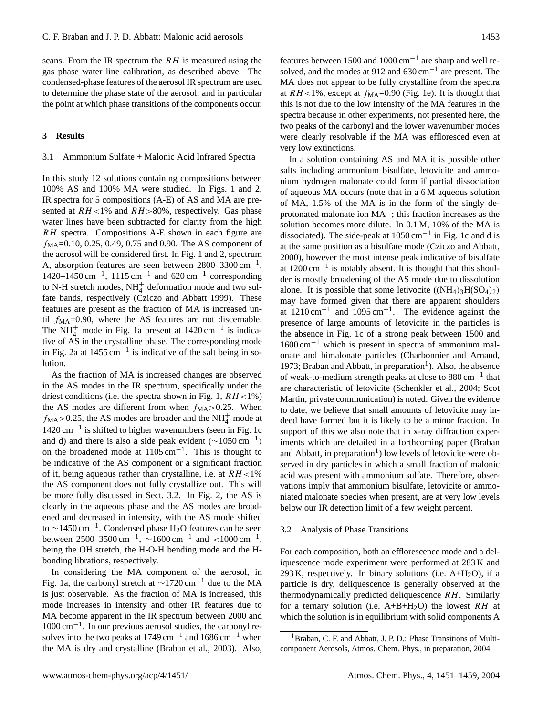scans. From the IR spectrum the  $RH$  is measured using the gas phase water line calibration, as described above. The condensed-phase features of the aerosol IR spectrum are used to determine the phase state of the aerosol, and in particular the point at which phase transitions of the components occur.

## **3 Results**

## 3.1 Ammonium Sulfate + Malonic Acid Infrared Spectra

In this study 12 solutions containing compositions between 100% AS and 100% MA were studied. In Figs. 1 and 2, IR spectra for 5 compositions (A-E) of AS and MA are presented at  $RH<1\%$  and  $RH>80\%$ , respectively. Gas phase water lines have been subtracted for clarity from the high RH spectra. Compositions A-E shown in each figure are  $f_{\text{MA}}$ =0.10, 0.25, 0.49, 0.75 and 0.90. The AS component of the aerosol will be considered first. In Fig. 1 and 2, spectrum A, absorption features are seen between  $2800-3300$  cm<sup>-1</sup>, 1420–1450 cm<sup>-1</sup>, 1115 cm<sup>-1</sup> and 620 cm<sup>-1</sup> corresponding to N-H stretch modes,  $NH_4^+$  deformation mode and two sulfate bands, respectively (Cziczo and Abbatt 1999). These features are present as the fraction of MA is increased until  $f_{\text{MA}}$ =0.90, where the AS features are not discernable. The  $NH_4^+$  mode in Fig. 1a present at 1420 cm<sup>-1</sup> is indicative of AS in the crystalline phase. The corresponding mode in Fig. 2a at  $1455 \text{ cm}^{-1}$  is indicative of the salt being in solution.

As the fraction of MA is increased changes are observed in the AS modes in the IR spectrum, specifically under the driest conditions (i.e. the spectra shown in Fig. 1,  $RH<1\%$ ) the AS modes are different from when  $f_{\text{MA}} > 0.25$ . When  $f_{\text{MA}} > 0.25$ , the AS modes are broader and the NH<sub>4</sub><sup>+</sup> mode at 1420 cm−<sup>1</sup> is shifted to higher wavenumbers (seen in Fig. 1c and d) and there is also a side peak evident (∼1050 cm−<sup>1</sup> ) on the broadened mode at  $1105 \text{ cm}^{-1}$ . This is thought to be indicative of the AS component or a significant fraction of it, being aqueous rather than crystalline, i.e. at  $RH<1\%$ the AS component does not fully crystallize out. This will be more fully discussed in Sect. 3.2. In Fig. 2, the AS is clearly in the aqueous phase and the AS modes are broadened and decreased in intensity, with the AS mode shifted to  $\sim$ 1450 cm<sup>-1</sup>. Condensed phase H<sub>2</sub>O features can be seen between 2500–3500 cm<sup>-1</sup>,  $\sim 1600 \text{ cm}^{-1}$  and  $< 1000 \text{ cm}^{-1}$ , being the OH stretch, the H-O-H bending mode and the Hbonding librations, respectively.

In considering the MA component of the aerosol, in Fig. 1a, the carbonyl stretch at  $\sim$ 1720 cm<sup>-1</sup> due to the MA is just observable. As the fraction of MA is increased, this mode increases in intensity and other IR features due to MA become apparent in the IR spectrum between 2000 and 1000 cm−<sup>1</sup> . In our previous aerosol studies, the carbonyl resolves into the two peaks at 1749 cm<sup>-1</sup> and 1686 cm<sup>-1</sup> when the MA is dry and crystalline (Braban et al., 2003). Also,

features between 1500 and 1000 cm−<sup>1</sup> are sharp and well resolved, and the modes at 912 and  $630 \text{ cm}^{-1}$  are present. The MA does not appear to be fully crystalline from the spectra at  $RH<1\%$ , except at  $f_{\text{MA}}=0.90$  (Fig. 1e). It is thought that this is not due to the low intensity of the MA features in the spectra because in other experiments, not presented here, the two peaks of the carbonyl and the lower wavenumber modes were clearly resolvable if the MA was effloresced even at very low extinctions.

In a solution containing AS and MA it is possible other salts including ammonium bisulfate, letovicite and ammonium hydrogen malonate could form if partial dissociation of aqueous MA occurs (note that in a 6 M aqueous solution of MA, 1.5% of the MA is in the form of the singly deprotonated malonate ion MA−; this fraction increases as the solution becomes more dilute. In 0.1 M, 10% of the MA is dissociated). The side-peak at  $1050 \text{ cm}^{-1}$  in Fig. 1c and d is at the same position as a bisulfate mode (Cziczo and Abbatt, 2000), however the most intense peak indicative of bisulfate at 1200 cm−<sup>1</sup> is notably absent. It is thought that this shoulder is mostly broadening of the AS mode due to dissolution alone. It is possible that some letivocite  $((NH_4)_3H(SO_4)_2)$ may have formed given that there are apparent shoulders at 1210 cm−<sup>1</sup> and 1095 cm−<sup>1</sup> . The evidence against the presence of large amounts of letovicite in the particles is the absence in Fig. 1c of a strong peak between 1500 and  $1600 \text{ cm}^{-1}$  which is present in spectra of ammonium malonate and bimalonate particles (Charbonnier and Arnaud, 1973; Braban and Abbatt, in preparation<sup>1</sup>). Also, the absence of weak-to-medium strength peaks at close to 880 cm−<sup>1</sup> that are characteristic of letovicite (Schenkler et al., 2004; Scot Martin, private communication) is noted. Given the evidence to date, we believe that small amounts of letovicite may indeed have formed but it is likely to be a minor fraction. In support of this we also note that in x-ray diffraction experiments which are detailed in a forthcoming paper (Braban and Abbatt, in preparation<sup>1</sup>) low levels of letovicite were observed in dry particles in which a small fraction of malonic acid was present with ammonium sulfate. Therefore, observations imply that ammonium bisulfate, letovicite or ammoniated malonate species when present, are at very low levels below our IR detection limit of a few weight percent.

## 3.2 Analysis of Phase Transitions

For each composition, both an efflorescence mode and a deliquescence mode experiment were performed at 283 K and 293 K, respectively. In binary solutions (i.e.  $A+H<sub>2</sub>O$ ), if a particle is dry, deliquescence is generally observed at the thermodynamically predicted deliquescence RH. Similarly for a ternary solution (i.e.  $A+B+H_2O$ ) the lowest RH at which the solution is in equilibrium with solid components A

<sup>&</sup>lt;sup>1</sup> Braban, C. F. and Abbatt, J. P. D.: Phase Transitions of Multicomponent Aerosols, Atmos. Chem. Phys., in preparation, 2004.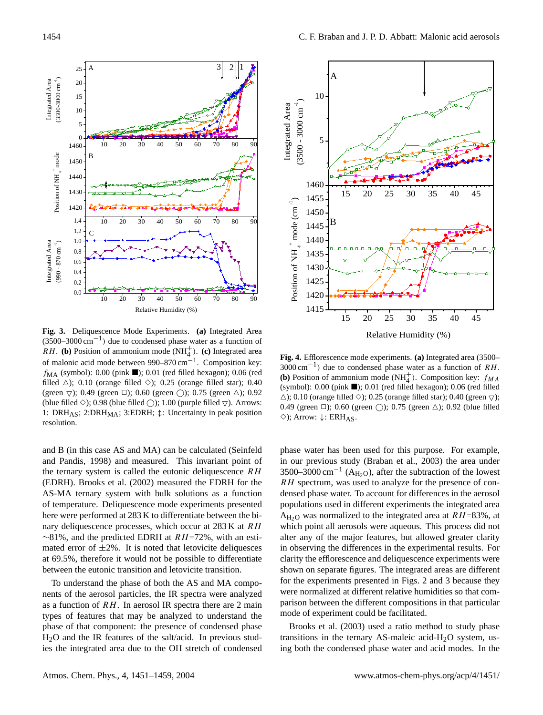*Integrated Area (3500-3000 cm -1 )*

Integrated Area

*B*

*C*

*Position of NH 4*

*Integrated Area (990 - 870 cm -1 )*

Integrated Area

*+ mode*

*0.0 0.2 0.4 0.6 0.8 1.0 1.2 1.4*

**Fig. 3.** Deliquescence Mode Experiments. **(a)** Integrated Area (3500–3000 cm−<sup>1</sup> ) due to condensed phase water as a function of  $R$ H. **(b)** Position of ammonium mode  $(NH_4^+)$ . **(c)** Integrated area of malonic acid mode between 990–870 cm−<sup>1</sup> . Composition key:  $f_{\text{MA}}$  (symbol): 0.00 (pink ); 0.01 (red filled hexagon); 0.06 (red filled  $\triangle$ ); 0.10 (orange filled  $\diamond$ ); 0.25 (orange filled star); 0.40 (green  $\triangledown$ ); 0.49 (green  $\Box$ ); 0.60 (green  $\bigcirc$ ); 0.75 (green  $\triangle$ ); 0.92 (blue filled  $\Diamond$ ); 0.98 (blue filled  $\Diamond$ ); 1.00 (purple filled  $\bigtriangledown$ ). Arrows: 1: DRH<sub>AS</sub>; 2:DRH<sub>MA</sub>; 3:EDRH;  $\uparrow$ : Uncertainty in peak position resolution.

*10 20 30 40 50 60 70 80 90*

*A*  $3 \t2 \|1$ 

*10 20 30 40 50 60 70 80 90*

*10 20 30 40 50 60 70 80 90*

*Relative Humidity (%)*

and B (in this case AS and MA) can be calculated (Seinfeld and Pandis, 1998) and measured. This invariant point of the ternary system is called the eutonic deliquescence  $RH$ (EDRH). Brooks et al. (2002) measured the EDRH for the AS-MA ternary system with bulk solutions as a function of temperature. Deliquescence mode experiments presented here were performed at 283 K to differentiate between the binary deliquescence processes, which occur at 283 K at RH  $~\sim$ 81%, and the predicted EDRH at *RH*=72%, with an estimated error of  $\pm 2\%$ . It is noted that letovicite deliquesces at 69.5%, therefore it would not be possible to differentiate between the eutonic transition and letovicite transition.

To understand the phase of both the AS and MA components of the aerosol particles, the IR spectra were analyzed as a function of RH. In aerosol IR spectra there are 2 main types of features that may be analyzed to understand the phase of that component: the presence of condensed phase H2O and the IR features of the salt/acid. In previous studies the integrated area due to the OH stretch of condensed



**Fig. 4.** Efflorescence mode experiments. **(a)** Integrated area (3500– 3000 cm−<sup>1</sup> ) due to condensed phase water as a function of RH. **(b)** Position of ammonium mode  $(NH_4^+)$ . Composition key:  $f_{MA}$ (symbol):  $0.00$  (pink  $\blacksquare$ );  $0.01$  (red filled hexagon);  $0.06$  (red filled  $\triangle$ ); 0.10 (orange filled  $\diamond$ ); 0.25 (orange filled star); 0.40 (green  $\triangledown$ ); 0.49 (green  $\Box$ ); 0.60 (green  $\bigcirc$ ); 0.75 (green  $\triangle$ ); 0.92 (blue filled  $\diamond$ ); Arrow:  $\downarrow$ : ERH<sub>AS</sub>.

phase water has been used for this purpose. For example, in our previous study (Braban et al., 2003) the area under 3500–3000 cm<sup>-1</sup> (A<sub>H<sub>2</sub>O), after the subtraction of the lowest</sub> RH spectrum, was used to analyze for the presence of condensed phase water. To account for differences in the aerosol populations used in different experiments the integrated area  $A_{H<sub>2</sub>O}$  was normalized to the integrated area at  $RH=83\%$ , at which point all aerosols were aqueous. This process did not alter any of the major features, but allowed greater clarity in observing the differences in the experimental results. For clarity the efflorescence and deliquescence experiments were shown on separate figures. The integrated areas are different for the experiments presented in Figs. 2 and 3 because they were normalized at different relative humidities so that comparison between the different compositions in that particular mode of experiment could be facilitated.

Brooks et al. (2003) used a ratio method to study phase transitions in the ternary AS-maleic acid- $H<sub>2</sub>O$  system, using both the condensed phase water and acid modes. In the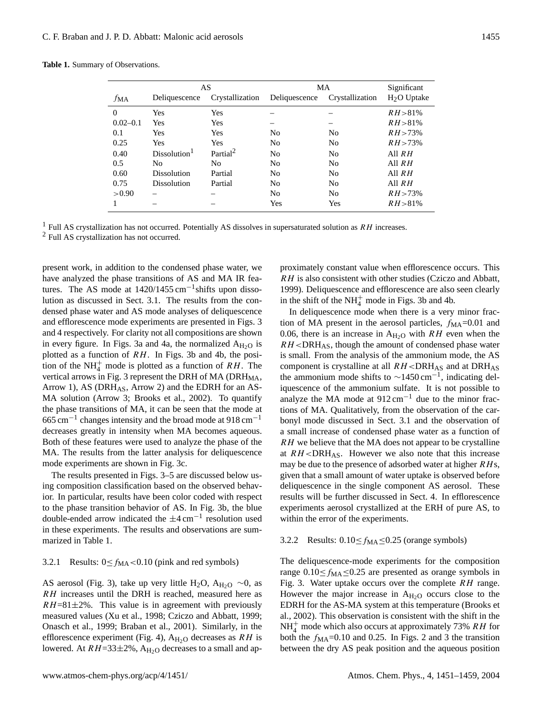|  | <b>Table 1.</b> Summary of Observations. |  |  |
|--|------------------------------------------|--|--|
|--|------------------------------------------|--|--|

|              | AS                       |                      | MA             |                 | Significant             |
|--------------|--------------------------|----------------------|----------------|-----------------|-------------------------|
| <i>f</i> ма  | Deliquescence            | Crystallization      | Deliquescence  | Crystallization | H <sub>2</sub> O Uptake |
| $\theta$     | Yes                      | Yes                  |                |                 | $RH > 81\%$             |
| $0.02 - 0.1$ | <b>Yes</b>               | Yes                  |                |                 | $RH > 81\%$             |
| 0.1          | <b>Yes</b>               | Yes                  | N <sub>0</sub> | No              | $RH > 73\%$             |
| 0.25         | <b>Yes</b>               | Yes                  | N <sub>0</sub> | No              | $RH > 73\%$             |
| 0.40         | Dissolution <sup>1</sup> | Partial <sup>2</sup> | N <sub>0</sub> | No              | All $RH$                |
| 0.5          | N <sub>0</sub>           | No                   | N <sub>0</sub> | No              | All $RH$                |
| 0.60         | <b>Dissolution</b>       | Partial              | N <sub>0</sub> | No              | All $RH$                |
| 0.75         | <b>Dissolution</b>       | Partial              | N <sub>0</sub> | No              | All $RH$                |
| > 0.90       |                          |                      | N <sub>0</sub> | No              | $RH > 73\%$             |
| 1            |                          |                      | <b>Yes</b>     | Yes             | $RH > 81\%$             |

<sup>1</sup> Full AS crystallization has not occurred. Potentially AS dissolves in supersaturated solution as  $RH$  increases.

<sup>2</sup> Full AS crystallization has not occurred.

present work, in addition to the condensed phase water, we have analyzed the phase transitions of AS and MA IR features. The AS mode at  $1420/1455$  cm<sup>-1</sup>shifts upon dissolution as discussed in Sect. 3.1. The results from the condensed phase water and AS mode analyses of deliquescence and efflorescence mode experiments are presented in Figs. 3 and 4 respectively. For clarity not all compositions are shown in every figure. In Figs. 3a and 4a, the normalized  $A_{H_2O}$  is plotted as a function of RH. In Figs. 3b and 4b, the position of the NH<sub>4</sub><sup>+</sup> mode is plotted as a function of  $RH$ . The vertical arrows in Fig. 3 represent the DRH of MA (DRH<sub>MA</sub>, Arrow 1), AS (DRH<sub>AS</sub>, Arrow 2) and the EDRH for an AS-MA solution (Arrow 3; Brooks et al., 2002). To quantify the phase transitions of MA, it can be seen that the mode at  $665 \text{ cm}^{-1}$  changes intensity and the broad mode at 918 cm<sup>-1</sup> decreases greatly in intensity when MA becomes aqueous. Both of these features were used to analyze the phase of the MA. The results from the latter analysis for deliquescence mode experiments are shown in Fig. 3c.

The results presented in Figs. 3–5 are discussed below using composition classification based on the observed behavior. In particular, results have been color coded with respect to the phase transition behavior of AS. In Fig. 3b, the blue double-ended arrow indicated the  $\pm 4 \text{ cm}^{-1}$  resolution used in these experiments. The results and observations are summarized in Table 1.

## 3.2.1 Results:  $0 \le f_{\text{MA}} < 0.10$  (pink and red symbols)

AS aerosol (Fig. 3), take up very little H<sub>2</sub>O, A<sub>H<sub>2</sub>O ~0, as</sub> RH increases until the DRH is reached, measured here as  $RH=81\pm2\%$ . This value is in agreement with previously measured values (Xu et al., 1998; Cziczo and Abbatt, 1999; Onasch et al., 1999; Braban et al., 2001). Similarly, in the efflorescence experiment (Fig. 4),  $A_{H_2O}$  decreases as RH is lowered. At  $RH=33\pm2\%$ ,  $A_{H_2O}$  decreases to a small and approximately constant value when efflorescence occurs. This RH is also consistent with other studies (Cziczo and Abbatt, 1999). Deliquescence and efflorescence are also seen clearly in the shift of the  $NH_4^+$  mode in Figs. 3b and 4b.

In deliquescence mode when there is a very minor fraction of MA present in the aerosol particles,  $f_{\text{MA}}$ =0.01 and 0.06, there is an increase in  $A_{H_2O}$  with RH even when the  $RH < DRH$ <sub>AS</sub>, though the amount of condensed phase water is small. From the analysis of the ammonium mode, the AS component is crystalline at all  $RH < DRH$ <sub>AS</sub> and at DRH<sub>AS</sub> the ammonium mode shifts to  $\sim$ 1450 cm<sup>-1</sup>, indicating deliquescence of the ammonium sulfate. It is not possible to analyze the MA mode at  $912 \text{ cm}^{-1}$  due to the minor fractions of MA. Qualitatively, from the observation of the carbonyl mode discussed in Sect. 3.1 and the observation of a small increase of condensed phase water as a function of RH we believe that the MA does not appear to be crystalline at  $RH < DRH$ <sub>AS</sub>. However we also note that this increase may be due to the presence of adsorbed water at higher  $R$ Hs, given that a small amount of water uptake is observed before deliquescence in the single component AS aerosol. These results will be further discussed in Sect. 4. In efflorescence experiments aerosol crystallized at the ERH of pure AS, to within the error of the experiments.

#### 3.2.2 Results:  $0.10 \le f_{\text{MA}} \le 0.25$  (orange symbols)

The deliquescence-mode experiments for the composition range  $0.10 \le f_{\text{MA}} \le 0.25$  are presented as orange symbols in Fig. 3. Water uptake occurs over the complete  $RH$  range. However the major increase in  $A_{H<sub>2</sub>O}$  occurs close to the EDRH for the AS-MA system at this temperature (Brooks et al., 2002). This observation is consistent with the shift in the  $NH_4^+$  mode which also occurs at approximately 73% *RH* for both the  $f_{\text{MA}}$ =0.10 and 0.25. In Figs. 2 and 3 the transition between the dry AS peak position and the aqueous position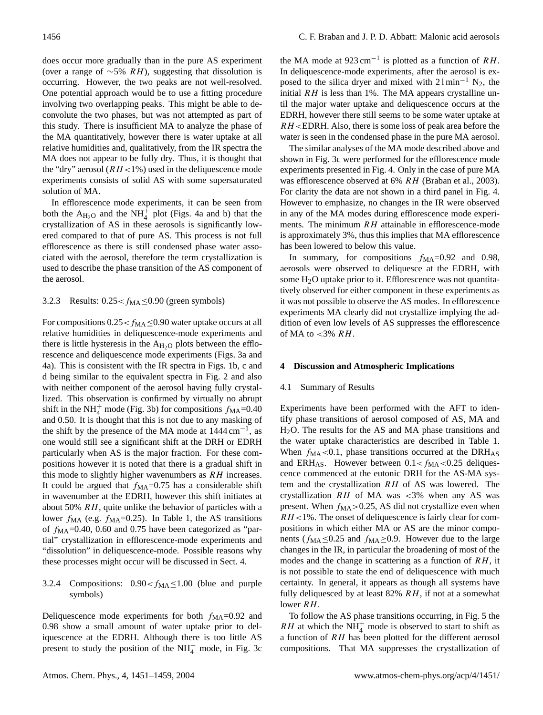does occur more gradually than in the pure AS experiment (over a range of  $~\sim 5\%$  RH), suggesting that dissolution is occurring. However, the two peaks are not well-resolved. One potential approach would be to use a fitting procedure involving two overlapping peaks. This might be able to deconvolute the two phases, but was not attempted as part of this study. There is insufficient MA to analyze the phase of the MA quantitatively, however there is water uptake at all relative humidities and, qualitatively, from the IR spectra the MA does not appear to be fully dry. Thus, it is thought that the "dry" aerosol ( $RH<1\%$ ) used in the deliquescence mode experiments consists of solid AS with some supersaturated solution of MA.

In efflorescence mode experiments, it can be seen from both the  $A_{H_2O}$  and the NH<sub>4</sub><sup> $+$ </sup> plot (Figs. 4a and b) that the crystallization of AS in these aerosols is significantly lowered compared to that of pure AS. This process is not full efflorescence as there is still condensed phase water associated with the aerosol, therefore the term crystallization is used to describe the phase transition of the AS component of the aerosol.

## 3.2.3 Results:  $0.25 < f_{\text{MA}} \leq 0.90$  (green symbols)

For compositions  $0.25 < f_{\text{MA}} \leq 0.90$  water uptake occurs at all relative humidities in deliquescence-mode experiments and there is little hysteresis in the  $A_{H<sub>2</sub>}$  plots between the efflorescence and deliquescence mode experiments (Figs. 3a and 4a). This is consistent with the IR spectra in Figs. 1b, c and d being similar to the equivalent spectra in Fig. 2 and also with neither component of the aerosol having fully crystallized. This observation is confirmed by virtually no abrupt shift in the NH<sup> $+$ </sup> mode (Fig. 3b) for compositions  $f_{\text{MA}}$ =0.40 and 0.50. It is thought that this is not due to any masking of the shift by the presence of the MA mode at  $1444 \text{ cm}^{-1}$ , as one would still see a significant shift at the DRH or EDRH particularly when AS is the major fraction. For these compositions however it is noted that there is a gradual shift in this mode to slightly higher wavenumbers as  $RH$  increases. It could be argued that  $f_{\text{MA}}=0.75$  has a considerable shift in wavenumber at the EDRH, however this shift initiates at about 50% RH, quite unlike the behavior of particles with a lower  $f_{\text{MA}}$  (e.g.  $f_{\text{MA}}$ =0.25). In Table 1, the AS transitions of  $f_{\text{MA}}$ =0.40, 0.60 and 0.75 have been categorized as "partial" crystallization in efflorescence-mode experiments and "dissolution" in deliquescence-mode. Possible reasons why these processes might occur will be discussed in Sect. 4.

# 3.2.4 Compositions:  $0.90 < f_{\text{MA}} \leq 1.00$  (blue and purple symbols)

Deliquescence mode experiments for both  $f_{\text{MA}}=0.92$  and 0.98 show a small amount of water uptake prior to deliquescence at the EDRH. Although there is too little AS present to study the position of the  $NH<sub>4</sub><sup>+</sup>$  mode, in Fig. 3c

the MA mode at  $923 \text{ cm}^{-1}$  is plotted as a function of RH. In deliquescence-mode experiments, after the aerosol is exposed to the silica dryer and mixed with  $21 \text{min}^{-1} \text{ N}_2$ , the initial  $RH$  is less than 1%. The MA appears crystalline until the major water uptake and deliquescence occurs at the EDRH, however there still seems to be some water uptake at  $RH$  <EDRH. Also, there is some loss of peak area before the water is seen in the condensed phase in the pure MA aerosol.

The similar analyses of the MA mode described above and shown in Fig. 3c were performed for the efflorescence mode experiments presented in Fig. 4. Only in the case of pure MA was efflorescence observed at 6% RH (Braban et al., 2003). For clarity the data are not shown in a third panel in Fig. 4. However to emphasize, no changes in the IR were observed in any of the MA modes during efflorescence mode experiments. The minimum  $RH$  attainable in efflorescence-mode is approximately 3%, thus this implies that MA efflorescence has been lowered to below this value.

In summary, for compositions  $f_{\text{MA}}=0.92$  and 0.98, aerosols were observed to deliquesce at the EDRH, with some H2O uptake prior to it. Efflorescence was not quantitatively observed for either component in these experiments as it was not possible to observe the AS modes. In efflorescence experiments MA clearly did not crystallize implying the addition of even low levels of AS suppresses the efflorescence of MA to  $<3\%$  RH.

#### **4 Discussion and Atmospheric Implications**

### 4.1 Summary of Results

Experiments have been performed with the AFT to identify phase transitions of aerosol composed of AS, MA and H2O. The results for the AS and MA phase transitions and the water uptake characteristics are described in Table 1. When  $f_{\text{MA}}$  < 0.1, phase transitions occurred at the DRH<sub>AS</sub> and ERH<sub>AS</sub>. However between  $0.1 < f_{\text{MA}} < 0.25$  deliquescence commenced at the eutonic DRH for the AS-MA system and the crystallization RH of AS was lowered. The crystallization  $RH$  of MA was <3% when any AS was present. When  $f_{\text{MA}} > 0.25$ , AS did not crystallize even when  $RH<1$ %. The onset of deliquescence is fairly clear for compositions in which either MA or AS are the minor components ( $f_{\text{MA}} \leq 0.25$  and  $f_{\text{MA}} \geq 0.9$ . However due to the large changes in the IR, in particular the broadening of most of the modes and the change in scattering as a function of  $RH$ , it is not possible to state the end of deliquescence with much certainty. In general, it appears as though all systems have fully deliquesced by at least  $82\%$   $RH$ , if not at a somewhat lower RH.

To follow the AS phase transitions occurring, in Fig. 5 the RH at which the  $NH<sub>4</sub><sup>+</sup>$  mode is observed to start to shift as a function of RH has been plotted for the different aerosol compositions. That MA suppresses the crystallization of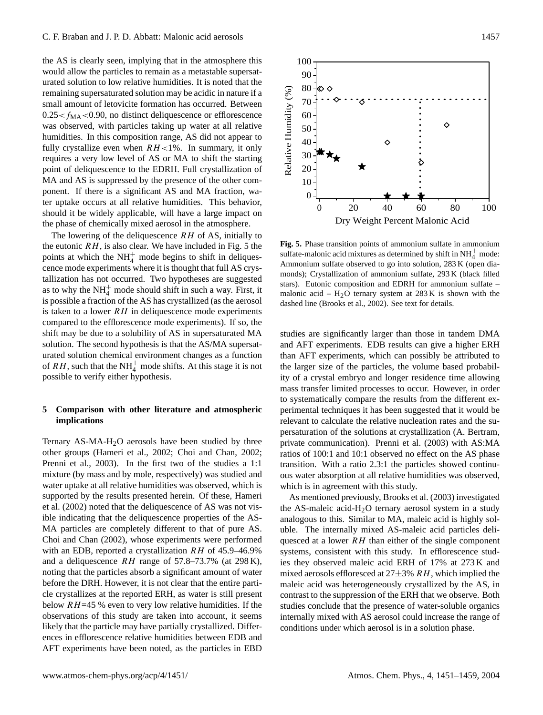the AS is clearly seen, implying that in the atmosphere this would allow the particles to remain as a metastable supersaturated solution to low relative humidities. It is noted that the remaining supersaturated solution may be acidic in nature if a small amount of letovicite formation has occurred. Between  $0.25 < f_{\text{MA}} < 0.90$ , no distinct deliquescence or efflorescence was observed, with particles taking up water at all relative humidities. In this composition range, AS did not appear to fully crystallize even when  $RH<1\%$ . In summary, it only requires a very low level of AS or MA to shift the starting point of deliquescence to the EDRH. Full crystallization of MA and AS is suppressed by the presence of the other component. If there is a significant AS and MA fraction, water uptake occurs at all relative humidities. This behavior, should it be widely applicable, will have a large impact on the phase of chemically mixed aerosol in the atmosphere.

The lowering of the deliquescence  $RH$  of AS, initially to the eutonic  $RH$ , is also clear. We have included in Fig. 5 the points at which the  $NH<sub>4</sub><sup>+</sup>$  mode begins to shift in deliquescence mode experiments where it is thought that full AS crystallization has not occurred. Two hypotheses are suggested as to why the  $NH<sub>4</sub><sup>+</sup>$  mode should shift in such a way. First, it is possible a fraction of the AS has crystallized (as the aerosol is taken to a lower  $RH$  in deliquescence mode experiments compared to the efflorescence mode experiments). If so, the shift may be due to a solubility of AS in supersaturated MA solution. The second hypothesis is that the AS/MA supersaturated solution chemical environment changes as a function of  $RH$ , such that the NH<sup>+</sup> mode shifts. At this stage it is not possible to verify either hypothesis.

## **5 Comparison with other literature and atmospheric implications**

Ternary AS-MA-H2O aerosols have been studied by three other groups (Hameri et al., 2002; Choi and Chan, 2002; Prenni et al., 2003). In the first two of the studies a 1:1 mixture (by mass and by mole, respectively) was studied and water uptake at all relative humidities was observed, which is supported by the results presented herein. Of these, Hameri et al. (2002) noted that the deliquescence of AS was not visible indicating that the deliquescence properties of the AS-MA particles are completely different to that of pure AS. Choi and Chan (2002), whose experiments were performed with an EDB, reported a crystallization RH of 45.9-46.9% and a deliquescence  $RH$  range of 57.8–73.7% (at 298 K), noting that the particles absorb a significant amount of water before the DRH. However, it is not clear that the entire particle crystallizes at the reported ERH, as water is still present below  $RH=45$  % even to very low relative humidities. If the observations of this study are taken into account, it seems likely that the particle may have partially crystallized. Differences in efflorescence relative humidities between EDB and AFT experiments have been noted, as the particles in EBD



**Fig. 5.** Phase transition points of ammonium sulfate in ammonium sulfate-malonic acid mixtures as determined by shift in  $NH<sub>4</sub><sup>+</sup>$  mode: Ammonium sulfate observed to go into solution, 283 K (open diamonds); Crystallization of ammonium sulfate, 293 K (black filled stars). Eutonic composition and EDRH for ammonium sulfate – malonic acid –  $H_2O$  ternary system at 283 K is shown with the dashed line (Brooks et al., 2002). See text for details.

studies are significantly larger than those in tandem DMA and AFT experiments. EDB results can give a higher ERH than AFT experiments, which can possibly be attributed to the larger size of the particles, the volume based probability of a crystal embryo and longer residence time allowing mass transfer limited processes to occur. However, in order to systematically compare the results from the different experimental techniques it has been suggested that it would be relevant to calculate the relative nucleation rates and the supersaturation of the solutions at crystallization (A. Bertram, private communication). Prenni et al. (2003) with AS:MA ratios of 100:1 and 10:1 observed no effect on the AS phase transition. With a ratio 2.3:1 the particles showed continuous water absorption at all relative humidities was observed, which is in agreement with this study.

As mentioned previously, Brooks et al. (2003) investigated the AS-maleic acid-H2O ternary aerosol system in a study analogous to this. Similar to MA, maleic acid is highly soluble. The internally mixed AS-maleic acid particles deliquesced at a lower  $RH$  than either of the single component systems, consistent with this study. In efflorescence studies they observed maleic acid ERH of 17% at 273 K and mixed aerosols effloresced at  $27\pm3\%$  RH, which implied the maleic acid was heterogeneously crystallized by the AS, in contrast to the suppression of the ERH that we observe. Both studies conclude that the presence of water-soluble organics internally mixed with AS aerosol could increase the range of conditions under which aerosol is in a solution phase.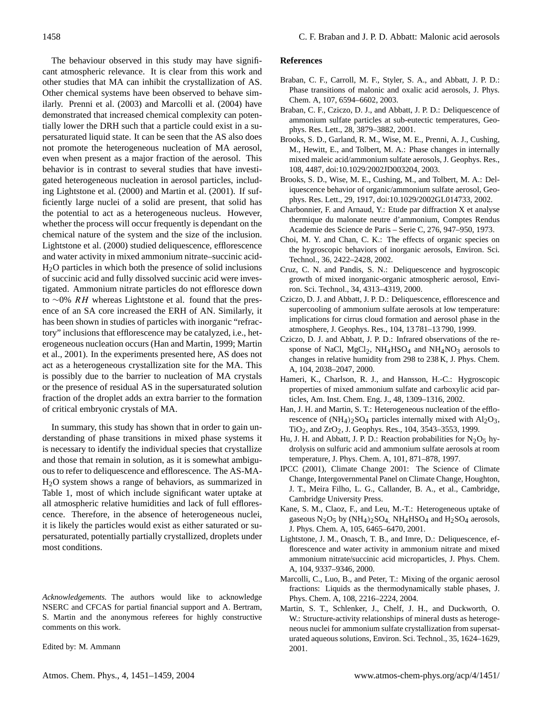The behaviour observed in this study may have significant atmospheric relevance. It is clear from this work and other studies that MA can inhibit the crystallization of AS. Other chemical systems have been observed to behave similarly. Prenni et al. (2003) and Marcolli et al. (2004) have demonstrated that increased chemical complexity can potentially lower the DRH such that a particle could exist in a supersaturated liquid state. It can be seen that the AS also does not promote the heterogeneous nucleation of MA aerosol, even when present as a major fraction of the aerosol. This behavior is in contrast to several studies that have investigated heterogeneous nucleation in aerosol particles, including Lightstone et al. (2000) and Martin et al. (2001). If sufficiently large nuclei of a solid are present, that solid has the potential to act as a heterogeneous nucleus. However, whether the process will occur frequently is dependant on the chemical nature of the system and the size of the inclusion. Lightstone et al. (2000) studied deliquescence, efflorescence and water activity in mixed ammonium nitrate–succinic acid-H2O particles in which both the presence of solid inclusions of succinic acid and fully dissolved succinic acid were investigated. Ammonium nitrate particles do not effloresce down to ∼0% RH whereas Lightstone et al. found that the presence of an SA core increased the ERH of AN. Similarly, it has been shown in studies of particles with inorganic "refractory" inclusions that efflorescence may be catalyzed, i.e., heterogeneous nucleation occurs (Han and Martin, 1999; Martin et al., 2001). In the experiments presented here, AS does not act as a heterogeneous crystallization site for the MA. This is possibly due to the barrier to nucleation of MA crystals or the presence of residual AS in the supersaturated solution fraction of the droplet adds an extra barrier to the formation of critical embryonic crystals of MA.

In summary, this study has shown that in order to gain understanding of phase transitions in mixed phase systems it is necessary to identify the individual species that crystallize and those that remain in solution, as it is somewhat ambiguous to refer to deliquescence and efflorescence. The AS-MA-H2O system shows a range of behaviors, as summarized in Table 1, most of which include significant water uptake at all atmospheric relative humidities and lack of full efflorescence. Therefore, in the absence of heterogeneous nuclei, it is likely the particles would exist as either saturated or supersaturated, potentially partially crystallized, droplets under most conditions.

*Acknowledgements.* The authors would like to acknowledge NSERC and CFCAS for partial financial support and A. Bertram, S. Martin and the anonymous referees for highly constructive comments on this work.

Edited by: M. Ammann

### **References**

- Braban, C. F., Carroll, M. F., Styler, S. A., and Abbatt, J. P. D.: Phase transitions of malonic and oxalic acid aerosols, J. Phys. Chem. A, 107, 6594–6602, 2003.
- Braban, C. F., Cziczo, D. J., and Abbatt, J. P. D.: Deliquescence of ammonium sulfate particles at sub-eutectic temperatures, Geophys. Res. Lett., 28, 3879–3882, 2001.
- Brooks, S. D., Garland, R. M., Wise, M. E., Prenni, A. J., Cushing, M., Hewitt, E., and Tolbert, M. A.: Phase changes in internally mixed maleic acid/ammonium sulfate aerosols, J. Geophys. Res., 108, 4487, doi:10.1029/2002JD003204, 2003.
- Brooks, S. D., Wise, M. E., Cushing, M., and Tolbert, M. A.: Deliquescence behavior of organic/ammonium sulfate aerosol, Geophys. Res. Lett., 29, 1917, doi:10.1029/2002GL014733, 2002.
- Charbonnier, F. and Arnaud, Y.: Etude par diffraction X et analyse thermique du malonate neutre d'ammonium, Comptes Rendus Academie des Science de Paris – Serie C, 276, 947–950, 1973.
- Choi, M. Y. and Chan, C. K.: The effects of organic species on the hygroscopic behaviors of inorganic aerosols, Environ. Sci. Technol., 36, 2422–2428, 2002.
- Cruz, C. N. and Pandis, S. N.: Deliquescence and hygroscopic growth of mixed inorganic-organic atmospheric aerosol, Environ. Sci. Technol., 34, 4313–4319, 2000.
- Cziczo, D. J. and Abbatt, J. P. D.: Deliquescence, efflorescence and supercooling of ammonium sulfate aerosols at low temperature: implications for cirrus cloud formation and aerosol phase in the atmosphere, J. Geophys. Res., 104, 13 781–13 790, 1999.
- Cziczo, D. J. and Abbatt, J. P. D.: Infrared observations of the response of NaCl,  $MgCl<sub>2</sub>$ ,  $NH<sub>4</sub>HSO<sub>4</sub>$  and  $NH<sub>4</sub>NO<sub>3</sub>$  aerosols to changes in relative humidity from 298 to 238 K, J. Phys. Chem. A, 104, 2038–2047, 2000.
- Hameri, K., Charlson, R. J., and Hansson, H.-C.: Hygroscopic properties of mixed ammonium sulfate and carboxylic acid particles, Am. Inst. Chem. Eng. J., 48, 1309–1316, 2002.
- Han, J. H. and Martin, S. T.: Heterogeneous nucleation of the efflorescence of  $(NH_4)$ <sub>2</sub>SO<sub>4</sub> particles internally mixed with  $Al_2O_3$ , TiO2, and ZrO2, J. Geophys. Res., 104, 3543–3553, 1999.
- Hu, J. H. and Abbatt, J. P. D.: Reaction probabilities for  $N_2O_5$  hydrolysis on sulfuric acid and ammonium sulfate aerosols at room temperature, J. Phys. Chem. A, 101, 871–878, 1997.
- IPCC (2001), Climate Change 2001: The Science of Climate Change, Intergovernmental Panel on Climate Change, Houghton, J. T., Meira Filho, L. G., Callander, B. A., et al., Cambridge, Cambridge University Press.
- Kane, S. M., Claoz, F., and Leu, M.-T.: Heterogeneous uptake of gaseous  $N_2O_5$  by  $(NH_4)_2SO_4$ ,  $NH_4HSO_4$  and  $H_2SO_4$  aerosols, J. Phys. Chem. A, 105, 6465–6470, 2001.
- Lightstone, J. M., Onasch, T. B., and Imre, D.: Deliquescence, efflorescence and water activity in ammonium nitrate and mixed ammonium nitrate/succinic acid microparticles, J. Phys. Chem. A, 104, 9337–9346, 2000.
- Marcolli, C., Luo, B., and Peter, T.: Mixing of the organic aerosol fractions: Liquids as the thermodynamically stable phases, J. Phys. Chem. A, 108, 2216–2224, 2004.
- Martin, S. T., Schlenker, J., Chelf, J. H., and Duckworth, O. W.: Structure-activity relationships of mineral dusts as heterogeneous nuclei for ammonium sulfate crystallization from supersaturated aqueous solutions, Environ. Sci. Technol., 35, 1624–1629, 2001.